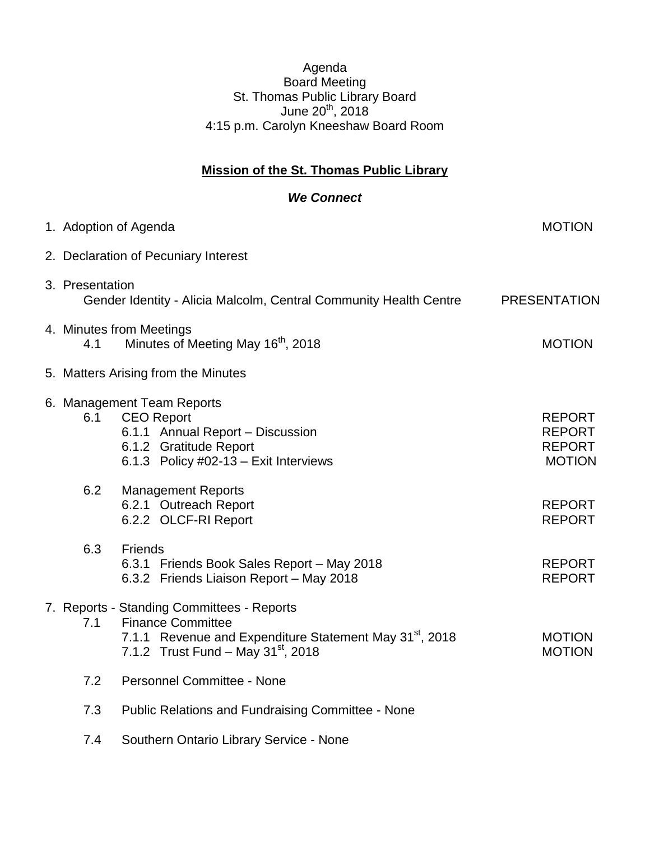## Agenda Board Meeting St. Thomas Public Library Board June 20<sup>th</sup>, 2018 4:15 p.m. Carolyn Kneeshaw Board Room

## **Mission of the St. Thomas Public Library**

## *We Connect*

|  |                 | 1. Adoption of Agenda                                                                                                                                                                    | <b>MOTION</b>                                                    |  |
|--|-----------------|------------------------------------------------------------------------------------------------------------------------------------------------------------------------------------------|------------------------------------------------------------------|--|
|  |                 | 2. Declaration of Pecuniary Interest                                                                                                                                                     |                                                                  |  |
|  | 3. Presentation | Gender Identity - Alicia Malcolm, Central Community Health Centre<br><b>PRESENTATION</b>                                                                                                 |                                                                  |  |
|  | 4.1             | 4. Minutes from Meetings<br>Minutes of Meeting May 16 <sup>th</sup> , 2018                                                                                                               | <b>MOTION</b>                                                    |  |
|  |                 | 5. Matters Arising from the Minutes                                                                                                                                                      |                                                                  |  |
|  | 6.1             | 6. Management Team Reports<br><b>CEO Report</b><br>6.1.1 Annual Report - Discussion<br>6.1.2 Gratitude Report<br>6.1.3 Policy #02-13 - Exit Interviews                                   | <b>REPORT</b><br><b>REPORT</b><br><b>REPORT</b><br><b>MOTION</b> |  |
|  | 6.2             | <b>Management Reports</b><br>6.2.1 Outreach Report<br>6.2.2 OLCF-RI Report                                                                                                               | <b>REPORT</b><br><b>REPORT</b>                                   |  |
|  | 6.3             | <b>Friends</b><br>6.3.1 Friends Book Sales Report - May 2018<br>6.3.2 Friends Liaison Report - May 2018                                                                                  | <b>REPORT</b><br><b>REPORT</b>                                   |  |
|  | 7.1             | 7. Reports - Standing Committees - Reports<br><b>Finance Committee</b><br>7.1.1 Revenue and Expenditure Statement May 31 <sup>st</sup> , 2018<br>7.1.2 Trust Fund - May $31^{st}$ , 2018 | <b>MOTION</b><br><b>MOTION</b>                                   |  |
|  | 7.2             | <b>Personnel Committee - None</b>                                                                                                                                                        |                                                                  |  |
|  | 7.3             | <b>Public Relations and Fundraising Committee - None</b>                                                                                                                                 |                                                                  |  |
|  | 7.4             | Southern Ontario Library Service - None                                                                                                                                                  |                                                                  |  |